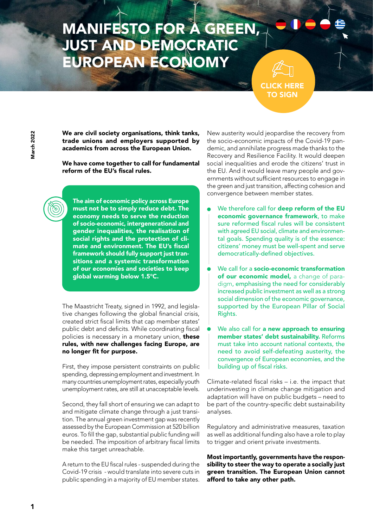## **MANIFESTO FOR A GREEN JUST AND DEMOCRAT** UROPEAN ECONOMY

[CLICK HERE](https://docs.google.com/forms/d/e/1FAIpQLScS4fvV3uXPheC1Er9bFPLLMwOcC3cztBq_rP2Zu6o_MjChsQ/viewform) TO SIGN

We are civil society organisations, think tanks, trade unions and employers supported by academics from across the European Union.

We have come together to call for fundamental reform of the EU's fiscal rules.

The aim of economic policy across Europe must not be to simply reduce debt. The economy needs to serve the reduction of socio-economic, intergenerational and gender inequalities, the realisation of social rights and the protection of climate and environment. The EU's fiscal framework should fully support just transitions and a systemic transformation of our economies and societies to keep global warming below 1.5°C.

The Maastricht Treaty, signed in 1992, and legislative changes following the global financial crisis, created strict fiscal limits that cap member states' public debt and deficits. While coordinating fiscal policies is necessary in a monetary union, these rules, with new challenges facing Europe, are no longer fit for purpose.

First, they impose persistent constraints on public spending, depressing employment and investment. In many countries unemployment rates, especially youth unemployment rates, are still at unacceptable levels.

Second, they fall short of ensuring we can adapt to and mitigate climate change through a just transition. The annual green investment gap was recently assessed by the European Commission at 520 billion euros. To fill the gap, substantial public funding will be needed. The imposition of arbitrary fiscal limits make this target unreachable.

A return to the EU fiscal rules - suspended during the Covid-19 crisis - would translate into severe cuts in public spending in a majority of EU member states.

New austerity would jeopardise the recovery from the socio-economic impacts of the Covid-19 pandemic, and annihilate progress made thanks to the Recovery and Resilience Facility. It would deepen social inequalities and erode the citizens' trust in the EU. And it would leave many people and governments without sufficient resources to engage in the green and just transition, affecting cohesion and convergence between member states.

- We therefore call for deep reform of the EU economic governance framework, to make sure reformed fiscal rules will be consistent with agreed EU social, climate and environmental goals. Spending quality is of the essence: citizens' money must be well-spent and serve democratically-defined objectives.
- We call for a **socio-economic transformation** of our economic model, a change of paradigm, emphasising the need for considerably increased public investment as well as a strong social dimension of the economic governance, supported by the European Pillar of Social Rights.
- We also call for a new approach to ensuring member states' debt sustainability. Reforms must take into account national contexts, the need to avoid self-defeating austerity, the convergence of European economies, and the building up of fiscal risks.

Climate-related fiscal risks – i.e. the impact that underinvesting in climate change mitigation and adaptation will have on public budgets – need to be part of the country-specific debt sustainability analyses.

Regulatory and administrative measures, taxation as well as additional funding also have a role to play to trigger and orient private investments.

Most importantly, governments have the responsibility to steer the way to operate a socially just green transition. The European Union cannot afford to take any other path.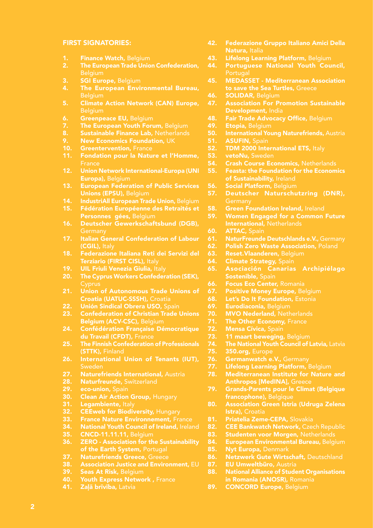## FIRST SIGNATORIES:

- 1. Finance Watch, Belgium<br>2. The European Trade Unio
- **The European Trade Union Confederation,** Belgium
- 3. **SGI Europe, Belgium**
- 4. The European Environmental Bureau, **Belgium**
- 5. Climate Action Network (CAN) Europe, **Belgium**
- 6. Greenpeace EU, Belgium
- 7. The European Youth Forum, Belgium<br>8. Sustainable Finance Lab, Netherlands
- 8. Sustainable Finance Lab, Netherlands<br>9. New Economics Foundation, UK
- **New Economics Foundation, UK**
- 10. Greentervention, France
- 11. Fondation pour la Nature et l'Homme, **France**
- 12. Union Network International-Europa (UNI Europa), Belgium
- 13. European Federation of Public Services Unions (EPSU), Belgium
- 14. IndustriAll European Trade Union, Belgium
- 15. Fédération Européenne des Retraités et Personnes gées, Belgium
- 16. Deutscher Gewerkschaftsbund (DGB), **Germany**
- 17. Italian General Confederation of Labour (CGIL), Italy
- 18. Federazione Italiana Reti dei Servizi del Terziario (FIRST CISL), Italy
- 19. UIL Friuli Venezia Giulia, Italy
- 20. The Cyprus Workers Confederation (SEK),
- 21. Union of Autonomous Trade Unions of Croatia (UATUC-SSSH), Croatia
- 22. Unión Sindical Obrera USO, Spain<br>23. Confederation of Christian Trade
- **Confederation of Christian Trade Unions** Belgium (ACV-CSC), Belgium
- 24. Confédération Française Démocratique du Travail (CFDT), France
- 25. The Finnish Confederation of Professionals (STTK), Finland
- 26. International Union of Tenants (IUT), Sweden
- 27. Naturefriends International, Austria<br>28. Naturfreunde, Switzerland
- 28. Naturfreunde, Switzerland<br>29. eco-union. Spain
- 29. eco-union, Spain<br>30. Clean Air Action
- **30.** Clean Air Action Group, Hungary<br>**31.** Legambiente, Italy
- 31. Legambiente, Italy<br>32. CEEweb for Biodiv
- 32. CEEweb for Biodiversity, Hungary<br>33. France Nature Environnement, Fr.
- 33. France Nature Environnement, France<br>34. National Youth Council of Ireland, Irela
- 34. National Youth Council of Ireland, Ireland<br>35. CNCD-11.11.11. Belgium
- 35. CNCD-11.11.11, Belgium<br>36. ZERO Association for th
- 36. ZERO Association for the Sustainability of the Earth System, Portugal
- **37.** Naturefriends Greece, Greece<br>**38.** Association Justice and Envirol
- 38. Association Justice and Environment, EU<br>39. Seas At Risk. Belgium
- 39. Seas At Risk, Belgium<br>40. Youth Express Netwo
- 40. Youth Express Network, France<br>41. Zalā brīvība, Latvia
- Zalā brīvība, Latvia
- 42. Federazione Gruppo Italiano Amici Della Natura, Italia
- 43. Lifelong Learning Platform, Belgium
- 44. Portuguese National Youth Council, Portugal
- 45. MEDASSET Mediterranean Association to save the Sea Turtles, Greece
- 46. SOLIDAR, Belgium
- 47. Association For Promotion Sustainable Development, India
- **48.** Fair Trade Advocacy Office, Belgium
- 49. Etopia, Belgium<br>50. International You
- International Young Naturefriends, Austria
- 51. ASUFIN, Spain
- 52. TDM 2000 International ETS, Italy
- 53. vetoNu, Sweden
- 54. Crash Course Economics, Netherlands
- 55. Feasta: the Foundation for the Economics of Sustainability, Ireland
- 56. Social Platform, Belgium
- 57. Deutscher Naturschutzring (DNR),
- 58. Green Foundation Ireland, Ireland
- 59. Women Engaged for a Common Future International, Netherlands
- 60. ATTAC, Spain<br>61. NaturFreunde
- 61. NaturFreunde Deutschlands e.V., Germany<br>62. Polish Zero Waste Association, Poland
- Polish Zero Waste Association, Poland
- 63. Reset.Vlaanderen, Belgium
- **64.** Climate Strategy, Spain
- 65. Asociación Canarias Archipiélago Sostenible, Spain
- 66. Focus Eco Center, Romania<br>67. Positive Monev Europe, Be
- 67. Positive Money Europe, Belgium<br>68. Let's Do It Foundation, Estonia
- 68. Let's Do It Foundation, Estonia<br>69. Eurodiaconia. Belgium
	- Eurodiaconia, Belgium
- 70. MVO Nederland, Netherlands
- 71. The Other Economy, France
- **72. Mensa Cívica, Spain<br>73. 11 maart beweging.**
- **73. 11 maart beweging, Belgium<br>74. The National Youth Council of L**
- 74. The National Youth Council of Latvia, Latvia<br>75. 350.org, Europe
- 75. 350.org, Europe<br>76. Germanwatch e.
	- Germanwatch e.V., Germany
- 77. Lifelong Learning Platform, Belgium<br>78. Mediterranean Institute for Nature
- Mediterranean Institute for Nature and Anthropos [MedINA], Greece
- 79. Grands-Parents pour le Climat (Belgique francophone), Belgique
- 80. Association Green Istria (Udruga Zelena Istra), Croatia
- 81. Priatelia Zeme-CEPA, Slovakia
- 82. CEE Bankwatch Network, Czech Republic
- 83. Studenten voor Morgen, Netherlands<br>84. European Environmental Bureau, Belgii
- 84. European Environmental Bureau, Belgium<br>85. Nyt Europa. Denmark
- 85. Nyt Europa, Denmark<br>86. Netzwerk Gute Wirts
- 86. Netzwerk Gute Wirtschaft, Deutschland<br>87. EU Umweltbüro, Austria
- 87. EU Umweltbüro, Austria<br>88. National Alliance of Stude
- **National Alliance of Student Organisations** in Romania (ANOSR), Romania
- 89. CONCORD Europe, Belgium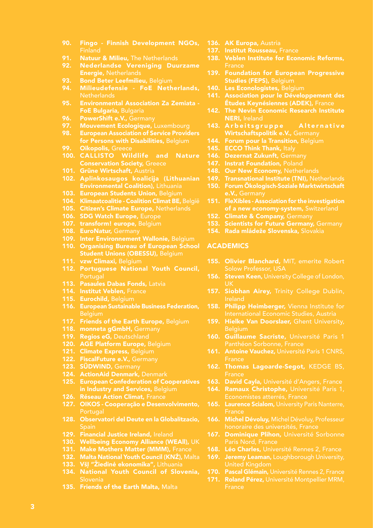- 90. Fingo Finnish Development NGOs,
- 91. Natuur & Milieu, The Netherlands<br>92. Nederlandse Vereniging Duu
- 92. Nederlandse Vereniging Duurzame Energie, Netherlands
- 93. Bond Beter Leefmilieu, Belgium
- 94. Milieudefensie FoE Netherlands, Netherlands
- 95. Environmental Association Za Zemiata FoE Bulgaria, Bulgaria
- 96. PowerShift e.V., Germany
- 97. Mouvement Ecologique, Luxembourg<br>98. European Association of Service Provid
- **European Association of Service Providers** for Persons with Disabilities, Belgium
- 99. Oikopolis, Greece
- 100. CALLISTO Wildlife and Nature Conservation Society, Greece
- 101. Grüne Wirtschaft, Austria
- 102. Aplinkosaugos koalicija (Lithuanian **Environmental Coalition), Lithuania**
- 103. European Students Union, Belgium
- 104. Klimaatcoalitie Coalition Climat BE, België
- 105. Citizen's Climate Europe, Netherlands
- 106. SDG Watch Europe, Europe
- 107. transform! europe, Belgium
- 108. EuroNatur, Germany
- 109. Inter Environnement Wallonie, Belgium
- 110. Organising Bureau of European School Student Unions (OBESSU), Belgium
- 111. vzw Climaxi, Belgium
- 112. Portuguese National Youth Council, Portugal
- 113. Pasaules Dabas Fonds, Latvia
- 114. Institut Veblen, France
- 115. Eurochild, Belgium
- 116. European Sustainable Business Federation, **Belgium**
- 117. Friends of the Earth Europe, Belgium
- 118. monneta gGmbH, Germany
- 119. Regios eG, Deutschland
- 120. AGE Platform Europe, Belgium
- 121. Climate Express, Belgium
- 122. FiscalFuture e.V., Germany
- 123. SÜDWIND, Germany
- 124. ActionAid Denmark, Denmark
- 125. European Confederation of Cooperatives in Industry and Services, Belgium
- 126. Réseau Action Climat, France
- 127. OIKOS Cooperação e Desenvolvimento, **Portugal**
- 128. Observatori del Deute en la Globalitzacio,
- 129. Financial Justice Ireland, Ireland
- 130. Wellbeing Economy Alliance (WEAll), UK
- 131. Make Mothers Matter (MMM), France
- 132. Malta National Youth Council (KNŻ), Malta
- 133. VšI "Žiedinė ekonomika", Lithuania
- 134. National Youth Council of Slovenia, Slovenia
- 135. Friends of the Earth Malta, Malta
- 136. AK Europa, Austria
- 137. Institut Rousseau, France
- 138. Veblen Institute for Economic Reforms,
- 139. Foundation for European Progressive Studies (FEPS), Belgium
- 140. Les Econologistes, Belgium
- 141. Association pour le Développement des Études Keynésiennes (ADEK), France
- 142. The Nevin Economic Research Institute NERI, Ireland
- 143. Arbeitsgruppe Alternative Wirtschaftspolitik e.V., Germany
- 144. Forum pour la Transition, Belgium
- 145. ECCO Think Thank, Italy
- 146. Dezernat Zukunft, Germany
- 147. Instrat Foundation, Poland
- 148. Our New Economy, Netherlands
- 149. Transnational Institute (TNI), Netherlands
- 150. Forum Ökologisch-Soziale Marktwirtschaft
- 151. FleXibles Association for the investigation of a new economy-system, Switzerland
- 152. Climate & Company, Germany
- 153. Scientists for Future Germany, Germany
- 154. Rada mládeže Slovenska, Slovakia

## ACADEMICS

- 155. Olivier Blanchard, MIT, emerite Robert Solow Professor, USA
- 156. Steven Keen, University College of London, UK
- 157. Siobhan Airey, Trinity College Dublin, Ireland
- 158. Philipp Heimberger, Vienna Institute for
- 159. Hielke Van Doorslaer, Ghent University, Belgium
- 160. Guillaume Sacriste, Université Paris 1
- 161. Antoine Vauchez, Université Paris 1 CNRS. France
- 162. Thomas Lagoarde-Segot, KEDGE BS,
- 163. David Cayla, Université d'Angers, France
- 164. Ramaux Christophe, Université Paris 1.
- 165. Laurence Scialom, University Paris Nanterre, France
- 166. Michel Dévoluy, Michel Dévoluy, Professeur
- 167. Dominique Plihon, Université Sorbonne
- 168. Léo Charles, Université Rennes 2, France
- 169. Jeremy Leaman, Loughborough University,
- 170. Pascal Glémain, Université Rennes 2, France
- 171. Roland Pérez, Université Montpellier MRM,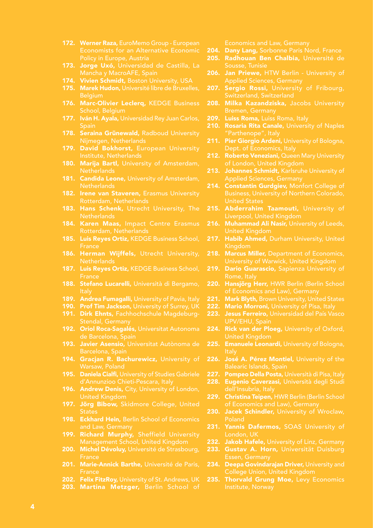- 172. Werner Raza, EuroMemo Group European
- 173. Jorge Uxó, Universidad de Castilla, La
- 174. Vivien Schmidt, Boston University, USA
- 175. Marek Hudon, Université libre de Bruxelles, Belgium
- 176. Marc-Olivier Leclerq, KEDGE Business School, Belgium
- 177. Iván H. Ayala, Universidad Rey Juan Carlos,
- 178. Seraina Grünewald, Radboud University
- 179. David Bokhorst, European University Institute, Netherlands
- 180. Marija Bartl, University of Amsterdam, **Netherlands**
- 181. Candida Leone, University of Amsterdam, **Netherlands**
- 182. Irene van Staveren, Erasmus University
- 183. Hans Schenk, Utrecht University, The
- 184. Karen Maas, Impact Centre Erasmus
- 185. Luis Reyes Ortiz, KEDGE Business School,
- 186. Herman Wijffels, Utrecht University,
- 187. Luis Reyes Ortiz, KEDGE Business School,
- 188. Stefano Lucarelli, Università di Bergamo,
- 189. Andrea Fumagalli, University of Pavia, Italy
- 190. Prof Tim Jackson, University of Surrey, UK
- 191. Dirk Ehnts, Fachhochschule Magdeburg-Stendal, Germany
- 192. Oriol Roca-Sagalés, Universitat Autonoma
- 193. Javier Asensio, Universitat Autònoma de
- 194. Gracjan R. Bachurewicz, University of
- 195. Daniela Cialfi, University of Studies Gabriele d'Annunzioo Chieti-Pescara, Italy
- 196. Andrew Denis, City, University of London,
- 197. Jörg Bibow, Skidmore College, United
- 198. Eckhard Hein, Berlin School of Economics
- 199. Richard Murphy, Sheffield University
- 200. Michel Dévoluy, Université de Strasbourg,
- 201. Marie-Annick Barthe, Université de Paris, **France**
- 202. Felix FitzRoy, University of St. Andrews, UK
- 203. Martina Metzger, Berlin School of

Economics and Law, Germany

- 204. Dany Lang, Sorbonne Paris Nord, France
- 205. Radhouan Ben Chalbia, Université de
- 206. Jan Priewe, HTW Berlin University of
- 207. Sergio Rossi, University of Fribourg,
- 208. Milka Kazandziska, Jacobs University
- 209. Luiss Roma, Luiss Roma, Italy
- 210. Rosaria Rita Canale, University of Naples "Parthenope", Italy
- 211. Pier Giorgio Ardeni, University of Bologna,
- 212. Roberto Veneziani, Queen Mary University of London, United Kingdom
- 213. Johannes Schmidt, Karlsruhe University of Applied Sciences, Germany
- 214. Constantin Gurdgiev, Monfort College of United States
- 215. Abderrahim Taamouti, University of
- 216. Muhammad Ali Nasir, University of Leeds, United Kingdom
- 217. Habib Ahmed, Durham University, United Kingdom
- 218. Marcus Miller, Department of Economics,
- 219. Dario Guarascio, Sapienza University of Rome, Italy
- 220. Hansjörg Herr, HWR Berlin (Berlin School
- 221. Mark Blyth, Brown University, United States<br>222. Mario Morroni. University of Pisa. Italy
	- Mario Morroni, University of Pisa, Italy
- 223. Jesus Ferreiro, Universidad del País Vasco
- 224. Rick van der Ploeg, University of Oxford, United Kingdom
- 225. Emanuele Leonardi, University of Bologna,
- 226. José A. Pérez Montiel, University of the
- 227. Pompeo Della Posta, Università di Pisa, Italy
- 228. Eugenio Caverzasi, Università degli Studi dell'Insubria, Italy
- 229. Christina Teipen, HWR Berlin (Berlin School
- 230. Jacek Schindler, University of Wroclaw,
- 231. Yannis Dafermos, SOAS University of London, UK
- 232. Jakob Hafele, University of Linz, Germany<br>233. Gustav A. Horn, Universität Duisburg
- Gustav A. Horn, Universität Duisburg Essen, Germany
- 234. Deepa Govindarajan Driver, University and
- 235. Thorvald Grung Moe, Levy Economics